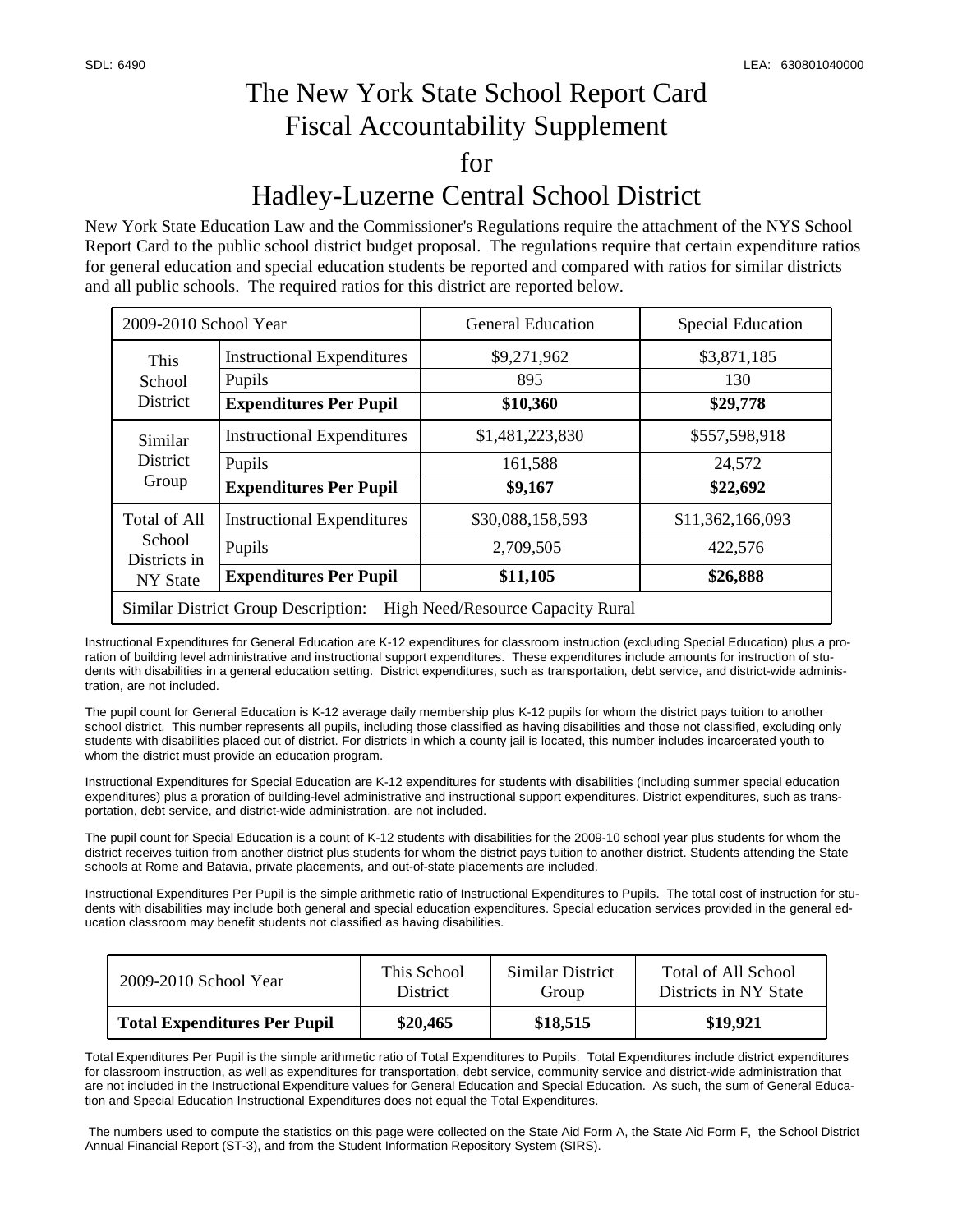## The New York State School Report Card Fiscal Accountability Supplement for Hadley-Luzerne Central School District

New York State Education Law and the Commissioner's Regulations require the attachment of the NYS School Report Card to the public school district budget proposal. The regulations require that certain expenditure ratios for general education and special education students be reported and compared with ratios for similar districts and all public schools. The required ratios for this district are reported below.

| 2009-2010 School Year                                                           |                                   | <b>General Education</b> | <b>Special Education</b> |  |  |  |
|---------------------------------------------------------------------------------|-----------------------------------|--------------------------|--------------------------|--|--|--|
| This<br>School<br><b>District</b>                                               | <b>Instructional Expenditures</b> | \$9,271,962              | \$3,871,185              |  |  |  |
|                                                                                 | Pupils                            | 895                      | 130                      |  |  |  |
|                                                                                 | <b>Expenditures Per Pupil</b>     | \$10,360                 | \$29,778                 |  |  |  |
| Similar<br><b>District</b><br>Group                                             | <b>Instructional Expenditures</b> | \$1,481,223,830          | \$557,598,918            |  |  |  |
|                                                                                 | Pupils                            | 161,588                  | 24,572                   |  |  |  |
|                                                                                 | <b>Expenditures Per Pupil</b>     | \$9,167                  | \$22,692                 |  |  |  |
| Total of All<br>School<br>Districts in<br><b>NY State</b>                       | <b>Instructional Expenditures</b> | \$30,088,158,593         | \$11,362,166,093         |  |  |  |
|                                                                                 | Pupils                            | 2,709,505                | 422,576                  |  |  |  |
|                                                                                 | <b>Expenditures Per Pupil</b>     | \$11,105                 | \$26,888                 |  |  |  |
| <b>Similar District Group Description:</b><br>High Need/Resource Capacity Rural |                                   |                          |                          |  |  |  |

Instructional Expenditures for General Education are K-12 expenditures for classroom instruction (excluding Special Education) plus a proration of building level administrative and instructional support expenditures. These expenditures include amounts for instruction of students with disabilities in a general education setting. District expenditures, such as transportation, debt service, and district-wide administration, are not included.

The pupil count for General Education is K-12 average daily membership plus K-12 pupils for whom the district pays tuition to another school district. This number represents all pupils, including those classified as having disabilities and those not classified, excluding only students with disabilities placed out of district. For districts in which a county jail is located, this number includes incarcerated youth to whom the district must provide an education program.

Instructional Expenditures for Special Education are K-12 expenditures for students with disabilities (including summer special education expenditures) plus a proration of building-level administrative and instructional support expenditures. District expenditures, such as transportation, debt service, and district-wide administration, are not included.

The pupil count for Special Education is a count of K-12 students with disabilities for the 2009-10 school year plus students for whom the district receives tuition from another district plus students for whom the district pays tuition to another district. Students attending the State schools at Rome and Batavia, private placements, and out-of-state placements are included.

Instructional Expenditures Per Pupil is the simple arithmetic ratio of Instructional Expenditures to Pupils. The total cost of instruction for students with disabilities may include both general and special education expenditures. Special education services provided in the general education classroom may benefit students not classified as having disabilities.

| 2009-2010 School Year               | This School     | Similar District | Total of All School   |
|-------------------------------------|-----------------|------------------|-----------------------|
|                                     | <b>District</b> | Group            | Districts in NY State |
| <b>Total Expenditures Per Pupil</b> | \$20,465        | \$18,515         | \$19,921              |

Total Expenditures Per Pupil is the simple arithmetic ratio of Total Expenditures to Pupils. Total Expenditures include district expenditures for classroom instruction, as well as expenditures for transportation, debt service, community service and district-wide administration that are not included in the Instructional Expenditure values for General Education and Special Education. As such, the sum of General Education and Special Education Instructional Expenditures does not equal the Total Expenditures.

 The numbers used to compute the statistics on this page were collected on the State Aid Form A, the State Aid Form F, the School District Annual Financial Report (ST-3), and from the Student Information Repository System (SIRS).